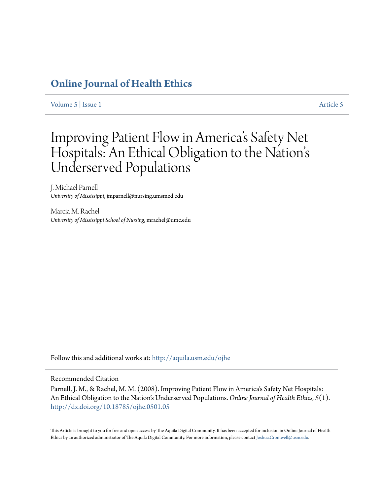# **[Online Journal of Health Ethics](http://aquila.usm.edu/ojhe?utm_source=aquila.usm.edu%2Fojhe%2Fvol5%2Fiss1%2F5&utm_medium=PDF&utm_campaign=PDFCoverPages)**

[Volume 5](http://aquila.usm.edu/ojhe/vol5?utm_source=aquila.usm.edu%2Fojhe%2Fvol5%2Fiss1%2F5&utm_medium=PDF&utm_campaign=PDFCoverPages) | [Issue 1](http://aquila.usm.edu/ojhe/vol5/iss1?utm_source=aquila.usm.edu%2Fojhe%2Fvol5%2Fiss1%2F5&utm_medium=PDF&utm_campaign=PDFCoverPages) [Article 5](http://aquila.usm.edu/ojhe/vol5/iss1/5?utm_source=aquila.usm.edu%2Fojhe%2Fvol5%2Fiss1%2F5&utm_medium=PDF&utm_campaign=PDFCoverPages)

# Improving Patient Flow in America 's Safety Net Hospitals: An Ethical Obligation to the Nation' s Underserved Populations

J. Michael Parnell *University of Mississippi*, jmparnell@nursing.umsmed.edu

Marcia M. Rachel *University of Mississippi School of Nursing*, mrachel@umc.edu

Follow this and additional works at: [http://aquila.usm.edu/ojhe](http://aquila.usm.edu/ojhe?utm_source=aquila.usm.edu%2Fojhe%2Fvol5%2Fiss1%2F5&utm_medium=PDF&utm_campaign=PDFCoverPages)

### Recommended Citation

Parnell, J. M., & Rachel, M. M. (2008). Improving Patient Flow in America's Safety Net Hospitals: An Ethical Obligation to the Nation's Underserved Populations. *Online Journal of Health Ethics, 5*(1). <http://dx.doi.org/10.18785/ojhe.0501.05>

This Article is brought to you for free and open access by The Aquila Digital Community. It has been accepted for inclusion in Online Journal of Health Ethics by an authorized administrator of The Aquila Digital Community. For more information, please contact [Joshua.Cromwell@usm.edu.](mailto:Joshua.Cromwell@usm.edu)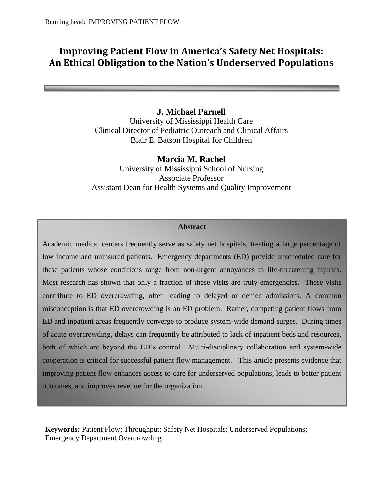# **Improving Patient Flow in America's Safety Net Hospitals: An Ethical Obligation to the Nation's Underserved Populations**

## **J. Michael Parnell**

University of Mississippi Health Care Clinical Director of Pediatric Outreach and Clinical Affairs Blair E. Batson Hospital for Children

### **Marcia M. Rachel**

University of Mississippi School of Nursing Associate Professor Assistant Dean for Health Systems and Quality Improvement

# **Abstract**

Academic medical centers frequently serve as safety net hospitals, treating a large percentage of low income and uninsured patients. Emergency departments (ED) provide unscheduled care for these patients whose conditions range from non-urgent annoyances to life-threatening injuries. Most research has shown that only a fraction of these visits are truly emergencies. These visits contribute to ED overcrowding, often leading to delayed or denied admissions. A common misconception is that ED overcrowding is an ED problem. Rather, competing patient flows from ED and inpatient areas frequently converge to produce system-wide demand surges. During times of acute overcrowding, delays can frequently be attributed to lack of inpatient beds and resources, both of which are beyond the ED's control. Multi-disciplinary collaboration and system-wide cooperation is critical for successful patient flow management. This article presents evidence that improving patient flow enhances access to care for underserved populations, leads to better patient outcomes, and improves revenue for the organization.

**Keywords:** Patient Flow; Throughput; Safety Net Hospitals; Underserved Populations; Emergency Department Overcrowding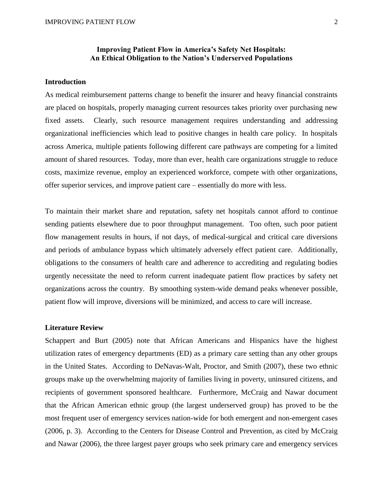## **Improving Patient Flow in America's Safety Net Hospitals: An Ethical Obligation to the Nation's Underserved Populations**

#### **Introduction**

As medical reimbursement patterns change to benefit the insurer and heavy financial constraints are placed on hospitals, properly managing current resources takes priority over purchasing new fixed assets. Clearly, such resource management requires understanding and addressing organizational inefficiencies which lead to positive changes in health care policy. In hospitals across America, multiple patients following different care pathways are competing for a limited amount of shared resources. Today, more than ever, health care organizations struggle to reduce costs, maximize revenue, employ an experienced workforce, compete with other organizations, offer superior services, and improve patient care – essentially do more with less.

To maintain their market share and reputation, safety net hospitals cannot afford to continue sending patients elsewhere due to poor throughput management. Too often, such poor patient flow management results in hours, if not days, of medical-surgical and critical care diversions and periods of ambulance bypass which ultimately adversely effect patient care. Additionally, obligations to the consumers of health care and adherence to accrediting and regulating bodies urgently necessitate the need to reform current inadequate patient flow practices by safety net organizations across the country. By smoothing system-wide demand peaks whenever possible, patient flow will improve, diversions will be minimized, and access to care will increase.

#### **Literature Review**

Schappert and Burt (2005) note that African Americans and Hispanics have the highest utilization rates of emergency departments (ED) as a primary care setting than any other groups in the United States. According to DeNavas-Walt, Proctor, and Smith (2007), these two ethnic groups make up the overwhelming majority of families living in poverty, uninsured citizens, and recipients of government sponsored healthcare. Furthermore, McCraig and Nawar document that the African American ethnic group (the largest underserved group) has proved to be the most frequent user of emergency services nation-wide for both emergent and non-emergent cases (2006, p. 3). According to the Centers for Disease Control and Prevention, as cited by McCraig and Nawar (2006), the three largest payer groups who seek primary care and emergency services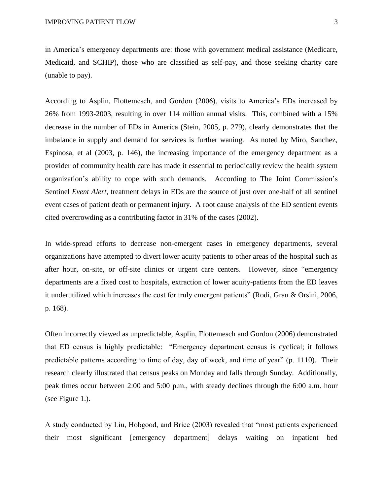in America's emergency departments are: those with government medical assistance (Medicare, Medicaid, and SCHIP), those who are classified as self-pay, and those seeking charity care (unable to pay).

According to Asplin, Flottemesch, and Gordon (2006), visits to America's EDs increased by 26% from 1993-2003, resulting in over 114 million annual visits. This, combined with a 15% decrease in the number of EDs in America (Stein, 2005, p. 279), clearly demonstrates that the imbalance in supply and demand for services is further waning. As noted by Miro, Sanchez, Espinosa, et al (2003, p. 146), the increasing importance of the emergency department as a provider of community health care has made it essential to periodically review the health system organization's ability to cope with such demands. According to The Joint Commission's Sentinel *Event Alert,* treatment delays in EDs are the source of just over one-half of all sentinel event cases of patient death or permanent injury. A root cause analysis of the ED sentient events cited overcrowding as a contributing factor in 31% of the cases (2002).

In wide-spread efforts to decrease non-emergent cases in emergency departments, several organizations have attempted to divert lower acuity patients to other areas of the hospital such as after hour, on-site, or off-site clinics or urgent care centers. However, since "emergency departments are a fixed cost to hospitals, extraction of lower acuity-patients from the ED leaves it underutilized which increases the cost for truly emergent patients" (Rodi, Grau & Orsini, 2006, p. 168).

Often incorrectly viewed as unpredictable, Asplin, Flottemesch and Gordon (2006) demonstrated that ED census is highly predictable: "Emergency department census is cyclical; it follows predictable patterns according to time of day, day of week, and time of year" (p. 1110). Their research clearly illustrated that census peaks on Monday and falls through Sunday. Additionally, peak times occur between 2:00 and 5:00 p.m., with steady declines through the 6:00 a.m. hour (see Figure 1.).

A study conducted by Liu, Hobgood, and Brice (2003) revealed that "most patients experienced their most significant [emergency department] delays waiting on inpatient bed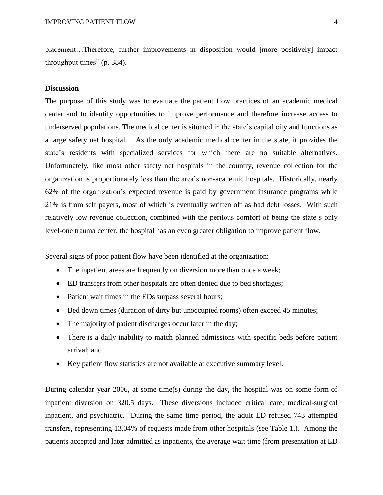placement…Therefore, further improvements in disposition would [more positively] impact throughput times" (p. 384).

#### **Discussion**

The purpose of this study was to evaluate the patient flow practices of an academic medical center and to identify opportunities to improve performance and therefore increase access to underserved populations. The medical center is situated in the state's capital city and functions as a large safety net hospital. As the only academic medical center in the state, it provides the state's residents with specialized services for which there are no suitable alternatives. Unfortunately, like most other safety net hospitals in the country, revenue collection for the organization is proportionately less than the area's non-academic hospitals. Historically, nearly 62% of the organization's expected revenue is paid by government insurance programs while 21% is from self payers, most of which is eventually written off as bad debt losses. With such relatively low revenue collection, combined with the perilous comfort of being the state's only level-one trauma center, the hospital has an even greater obligation to improve patient flow.

Several signs of poor patient flow have been identified at the organization:

- The inpatient areas are frequently on diversion more than once a week;
- ED transfers from other hospitals are often denied due to bed shortages;
- Patient wait times in the EDs surpass several hours;
- Bed down times (duration of dirty but unoccupied rooms) often exceed 45 minutes;
- The majority of patient discharges occur later in the day;
- There is a daily inability to match planned admissions with specific beds before patient arrival; and
- Key patient flow statistics are not available at executive summary level.

During calendar year 2006, at some time(s) during the day, the hospital was on some form of inpatient diversion on 320.5 days. These diversions included critical care, medical-surgical inpatient, and psychiatric. During the same time period, the adult ED refused 743 attempted transfers, representing 13.04% of requests made from other hospitals (see Table 1.). Among the patients accepted and later admitted as inpatients, the average wait time (from presentation at ED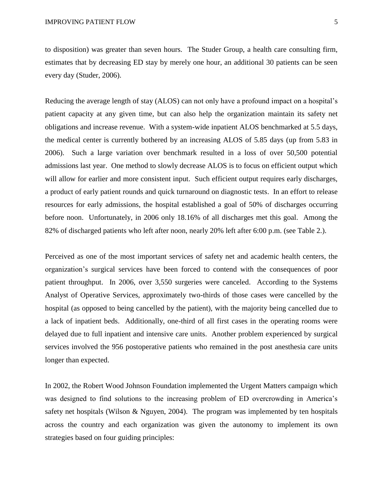to disposition) was greater than seven hours. The Studer Group, a health care consulting firm, estimates that by decreasing ED stay by merely one hour, an additional 30 patients can be seen every day (Studer, 2006).

Reducing the average length of stay (ALOS) can not only have a profound impact on a hospital's patient capacity at any given time, but can also help the organization maintain its safety net obligations and increase revenue. With a system-wide inpatient ALOS benchmarked at 5.5 days, the medical center is currently bothered by an increasing ALOS of 5.85 days (up from 5.83 in 2006). Such a large variation over benchmark resulted in a loss of over 50,500 potential admissions last year. One method to slowly decrease ALOS is to focus on efficient output which will allow for earlier and more consistent input. Such efficient output requires early discharges, a product of early patient rounds and quick turnaround on diagnostic tests. In an effort to release resources for early admissions, the hospital established a goal of 50% of discharges occurring before noon. Unfortunately, in 2006 only 18.16% of all discharges met this goal. Among the 82% of discharged patients who left after noon, nearly 20% left after 6:00 p.m. (see Table 2.).

Perceived as one of the most important services of safety net and academic health centers, the organization's surgical services have been forced to contend with the consequences of poor patient throughput. In 2006, over 3,550 surgeries were canceled. According to the Systems Analyst of Operative Services, approximately two-thirds of those cases were cancelled by the hospital (as opposed to being cancelled by the patient), with the majority being cancelled due to a lack of inpatient beds. Additionally, one-third of all first cases in the operating rooms were delayed due to full inpatient and intensive care units. Another problem experienced by surgical services involved the 956 postoperative patients who remained in the post anesthesia care units longer than expected.

In 2002, the Robert Wood Johnson Foundation implemented the Urgent Matters campaign which was designed to find solutions to the increasing problem of ED overcrowding in America's safety net hospitals (Wilson & Nguyen, 2004). The program was implemented by ten hospitals across the country and each organization was given the autonomy to implement its own strategies based on four guiding principles: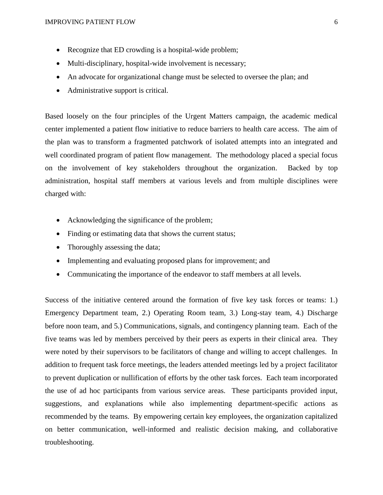- Recognize that ED crowding is a hospital-wide problem;
- Multi-disciplinary, hospital-wide involvement is necessary;
- An advocate for organizational change must be selected to oversee the plan; and
- Administrative support is critical.

Based loosely on the four principles of the Urgent Matters campaign, the academic medical center implemented a patient flow initiative to reduce barriers to health care access. The aim of the plan was to transform a fragmented patchwork of isolated attempts into an integrated and well coordinated program of patient flow management. The methodology placed a special focus on the involvement of key stakeholders throughout the organization. Backed by top administration, hospital staff members at various levels and from multiple disciplines were charged with:

- Acknowledging the significance of the problem;
- Finding or estimating data that shows the current status;
- Thoroughly assessing the data;
- Implementing and evaluating proposed plans for improvement; and
- Communicating the importance of the endeavor to staff members at all levels.

Success of the initiative centered around the formation of five key task forces or teams: 1.) Emergency Department team, 2.) Operating Room team, 3.) Long-stay team, 4.) Discharge before noon team, and 5.) Communications, signals, and contingency planning team. Each of the five teams was led by members perceived by their peers as experts in their clinical area. They were noted by their supervisors to be facilitators of change and willing to accept challenges. In addition to frequent task force meetings, the leaders attended meetings led by a project facilitator to prevent duplication or nullification of efforts by the other task forces. Each team incorporated the use of ad hoc participants from various service areas. These participants provided input, suggestions, and explanations while also implementing department-specific actions as recommended by the teams. By empowering certain key employees, the organization capitalized on better communication, well-informed and realistic decision making, and collaborative troubleshooting.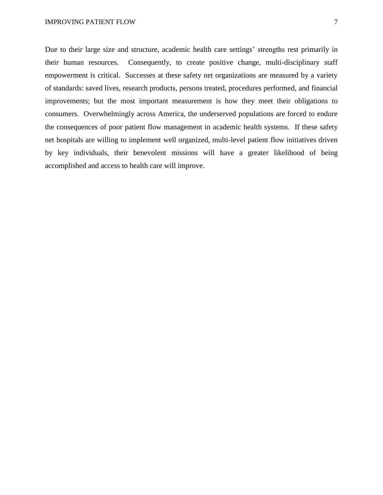Due to their large size and structure, academic health care settings' strengths rest primarily in their human resources. Consequently, to create positive change, multi-disciplinary staff empowerment is critical. Successes at these safety net organizations are measured by a variety of standards: saved lives, research products, persons treated, procedures performed, and financial improvements; but the most important measurement is how they meet their obligations to consumers. Overwhelmingly across America, the underserved populations are forced to endure the consequences of poor patient flow management in academic health systems. If these safety net hospitals are willing to implement well organized, multi-level patient flow initiatives driven by key individuals, their benevolent missions will have a greater likelihood of being accomplished and access to health care will improve.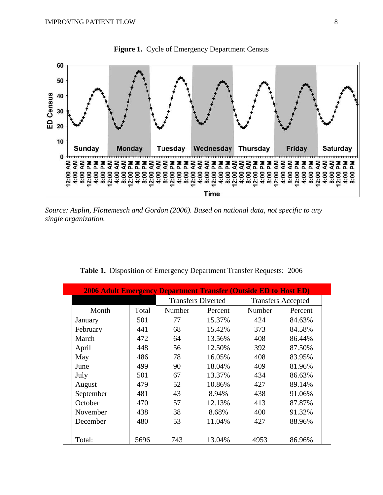

Figure 1. Cycle of Emergency Department Census

*Source: Asplin, Flottemesch and Gordon (2006). Based on national data, not specific to any single organization.* 

|           |       |        |                           | <b>2006 Adult Emergency Department Transfer (Outside ED to Host ED)</b> |         |  |
|-----------|-------|--------|---------------------------|-------------------------------------------------------------------------|---------|--|
|           |       |        | <b>Transfers Diverted</b> | <b>Transfers Accepted</b>                                               |         |  |
| Month     | Total | Number | Percent                   | Number                                                                  | Percent |  |
| January   | 501   | 77     | 15.37%                    | 424                                                                     | 84.63%  |  |
| February  | 441   | 68     | 15.42%                    | 373                                                                     | 84.58%  |  |
| March     | 472   | 64     | 13.56%                    | 408                                                                     | 86.44%  |  |
| April     | 448   | 56     | 12.50%                    | 392                                                                     | 87.50%  |  |
| May       | 486   | 78     | 16.05%                    | 408                                                                     | 83.95%  |  |
| June      | 499   | 90     | 18.04%                    | 409                                                                     | 81.96%  |  |
| July      | 501   | 67     | 13.37%                    | 434                                                                     | 86.63%  |  |
| August    | 479   | 52     | 10.86%                    | 427                                                                     | 89.14%  |  |
| September | 481   | 43     | 8.94%                     | 438                                                                     | 91.06%  |  |
| October   | 470   | 57     | 12.13%                    | 413                                                                     | 87.87%  |  |
| November  | 438   | 38     | 8.68%                     | 400                                                                     | 91.32%  |  |
| December  | 480   | 53     | 11.04%                    | 427                                                                     | 88.96%  |  |
|           |       |        |                           |                                                                         |         |  |
| Total:    | 5696  | 743    | 13.04%                    | 4953                                                                    | 86.96%  |  |

|  |  | Table 1. Disposition of Emergency Department Transfer Requests: 2006 |  |
|--|--|----------------------------------------------------------------------|--|
|  |  |                                                                      |  |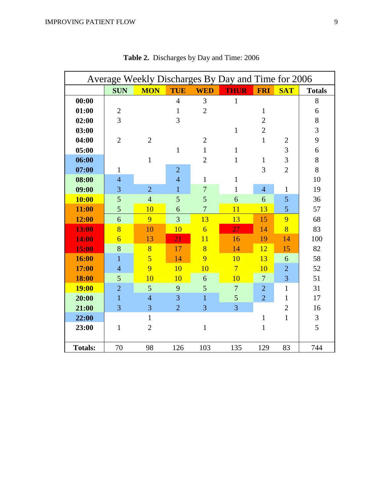| Average Weekly Discharges By Day and Time for 2006 |                |                |                |                |                |                |                |               |
|----------------------------------------------------|----------------|----------------|----------------|----------------|----------------|----------------|----------------|---------------|
|                                                    | <b>SUN</b>     | <b>MON</b>     | <b>TUE</b>     | <b>WED</b>     | <b>THUR</b>    | <b>FRI</b>     | <b>SAT</b>     | <b>Totals</b> |
| 00:00                                              |                |                | $\overline{4}$ | 3              | $\mathbf{1}$   |                |                | 8             |
| 01:00                                              | $\overline{2}$ |                | 1              | $\overline{2}$ |                | $\mathbf{1}$   |                | 6             |
| 02:00                                              | 3              |                | 3              |                |                | $\overline{2}$ |                | 8             |
| 03:00                                              |                |                |                |                | $\mathbf{1}$   | $\overline{2}$ |                | 3             |
| 04:00                                              | $\overline{2}$ | $\overline{2}$ |                | $\overline{2}$ |                | $\mathbf{1}$   | $\overline{2}$ | 9             |
| 05:00                                              |                |                | $\mathbf{1}$   | $\mathbf{1}$   | $\mathbf{1}$   |                | 3              | 6             |
| 06:00                                              |                | $\mathbf{1}$   |                | $\overline{2}$ | 1              | $\mathbf{1}$   | 3              | 8             |
| 07:00                                              | $\mathbf{1}$   |                | $\overline{2}$ |                |                | 3              | $\overline{2}$ | 8             |
| 08:00                                              | $\overline{4}$ |                | $\overline{4}$ | $\mathbf{1}$   | $\mathbf{1}$   |                |                | 10            |
| 09:00                                              | 3              | $\overline{2}$ | $\mathbf{1}$   | $\overline{7}$ | 1              | $\overline{4}$ | $\mathbf{1}$   | 19            |
| <b>10:00</b>                                       | 5              | $\overline{4}$ | 5              | 5              | 6              | 6              | $\overline{5}$ | 36            |
| 11:00                                              | 5              | 10             | 6              | $\overline{7}$ | 11             | 13             | 5              | 57            |
| 12:00                                              | 6              | 9              | 3              | 13             | 13             | 15             | 9              | 68            |
| 13:00                                              | 8              | 10             | 10             | $\overline{6}$ | 27             | 14             | 8              | 83            |
| 14:00                                              | $\overline{6}$ | 13             | 21             | 11             | 16             | 19             | 14             | 100           |
| 15:00                                              | 8              | 8              | 17             | 8              | 14             | 12             | 15             | 82            |
| 16:00                                              | $\mathbf{1}$   | $\overline{5}$ | 14             | 9              | 10             | 13             | 6              | 58            |
| 17:00                                              | $\overline{4}$ | 9              | 10             | 10             | $\overline{7}$ | 10             | $\overline{2}$ | 52            |
| 18:00                                              | 5              | 10             | 10             | 6              | 10             | $\overline{7}$ | $\overline{3}$ | 51            |
| <b>19:00</b>                                       | $\overline{2}$ | $\overline{5}$ | 9              | 5              | $\overline{7}$ | $\overline{2}$ | $\mathbf{1}$   | 31            |
| 20:00                                              | $\overline{1}$ | $\overline{4}$ | 3              | $\overline{1}$ | 5              | $\overline{2}$ | $\mathbf{1}$   | 17            |
| 21:00                                              | 3              | 3              | $\overline{2}$ | 3              | 3              |                | $\overline{2}$ | 16            |
| 22:00                                              |                | $\mathbf{1}$   |                |                |                | $\mathbf{1}$   | $\mathbf{1}$   | 3             |
| 23:00                                              | $\mathbf{1}$   | $\overline{2}$ |                | $\mathbf{1}$   |                | $\mathbf{1}$   |                | 5             |
|                                                    |                |                |                |                |                |                |                |               |
| <b>Totals:</b>                                     | 70             | 98             | 126            | 103            | 135            | 129            | 83             | 744           |

**Table 2.** Discharges by Day and Time: 2006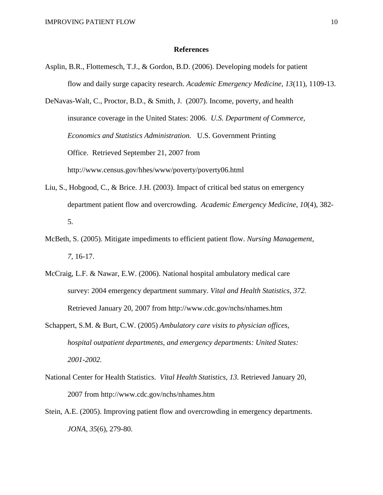#### **References**

Asplin, B.R., Flottemesch, T.J., & Gordon, B.D. (2006). Developing models for patient flow and daily surge capacity research. *Academic Emergency Medicine, 13*(11), 1109-13.

DeNavas-Walt, C., Proctor, B.D., & Smith, J. (2007). Income, poverty, and health insurance coverage in the United States: 2006. *U.S. Department of Commerce, Economics and Statistics Administration.* U.S. Government Printing Office. Retrieved September 21, 2007 from http://www.census.gov/hhes/www/poverty/poverty06.html

- Liu, S., Hobgood, C., & Brice. J.H. (2003). Impact of critical bed status on emergency department patient flow and overcrowding. *Academic Emergency Medicine, 10*(4), 382- 5.
- McBeth, S. (2005). Mitigate impediments to efficient patient flow. *Nursing Management, 7,* 16-17.
- McCraig, L.F. & Nawar, E.W. (2006). National hospital ambulatory medical care survey: 2004 emergency department summary. *Vital and Health Statistics, 372.* Retrieved January 20, 2007 from http://www.cdc.gov/nchs/nhames.htm
- Schappert, S.M. & Burt, C.W. (2005) *Ambulatory care visits to physician offices, hospital outpatient departments, and emergency departments: United States: 2001-2002.*
- National Center for Health Statistics. *Vital Health Statistics, 13.* Retrieved January 20, 2007 from http://www.cdc.gov/nchs/nhames.htm
- Stein, A.E. (2005). Improving patient flow and overcrowding in emergency departments. *JONA, 35*(6), 279-80.